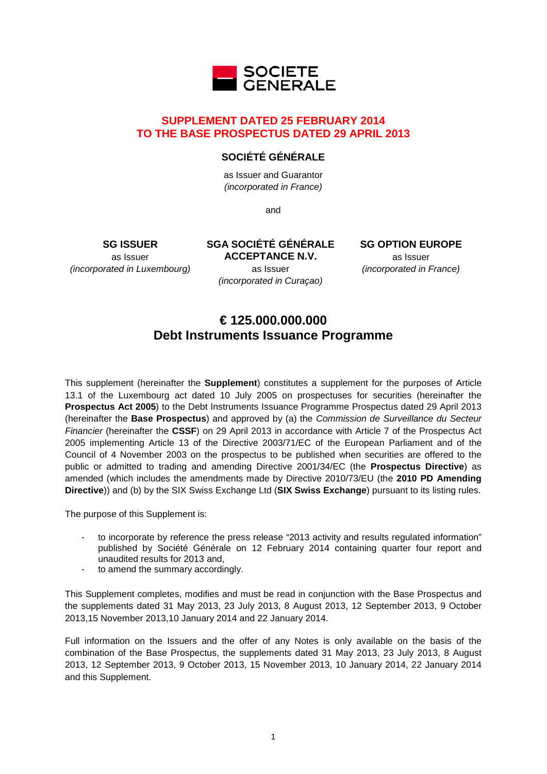

# **SUPPLEMENT DATED 25 FEBRUARY 2014 TO THE BASE PROSPECTUS DATED 29 APRIL 2013**

# **SOCIÉTÉ GÉNÉRALE**

as Issuer and Guarantor *(incorporated in France)*

and

**SG ISSUER** as Issuer *(incorporated in Luxembourg)* **SGA SOCIÉTÉ GÉNÉRALE ACCEPTANCE N.V.** as Issuer *(incorporated in Curaçao)*

**SG OPTION EUROPE** as Issuer *(incorporated in France)*

# **€ 125.000.000.000 Debt Instruments Issuance Programme**

This supplement (hereinafter the **Supplement**) constitutes a supplement for the purposes of Article 13.1 of the Luxembourg act dated 10 July 2005 on prospectuses for securities (hereinafter the **Prospectus Act 2005**) to the Debt Instruments Issuance Programme Prospectus dated 29 April 2013 (hereinafter the **Base Prospectus**) and approved by (a) the *Commission de Surveillance du Secteur Financier* (hereinafter the **CSSF**) on 29 April 2013 in accordance with Article 7 of the Prospectus Act 2005 implementing Article 13 of the Directive 2003/71/EC of the European Parliament and of the Council of 4 November 2003 on the prospectus to be published when securities are offered to the public or admitted to trading and amending Directive 2001/34/EC (the **Prospectus Directive**) as amended (which includes the amendments made by Directive 2010/73/EU (the **2010 PD Amending Directive**)) and (b) by the SIX Swiss Exchange Ltd (**SIX Swiss Exchange**) pursuant to its listing rules.

The purpose of this Supplement is:

- to incorporate by reference the press release "2013 activity and results regulated information" published by Société Générale on 12 February 2014 containing quarter four report and unaudited results for 2013 and,
- to amend the summary accordingly.

This Supplement completes, modifies and must be read in conjunction with the Base Prospectus and the supplements dated 31 May 2013, 23 July 2013, 8 August 2013, 12 September 2013, 9 October 2013,15 November 2013,10 January 2014 and 22 January 2014.

Full information on the Issuers and the offer of any Notes is only available on the basis of the combination of the Base Prospectus, the supplements dated 31 May 2013, 23 July 2013, 8 August 2013, 12 September 2013, 9 October 2013, 15 November 2013, 10 January 2014, 22 January 2014 and this Supplement.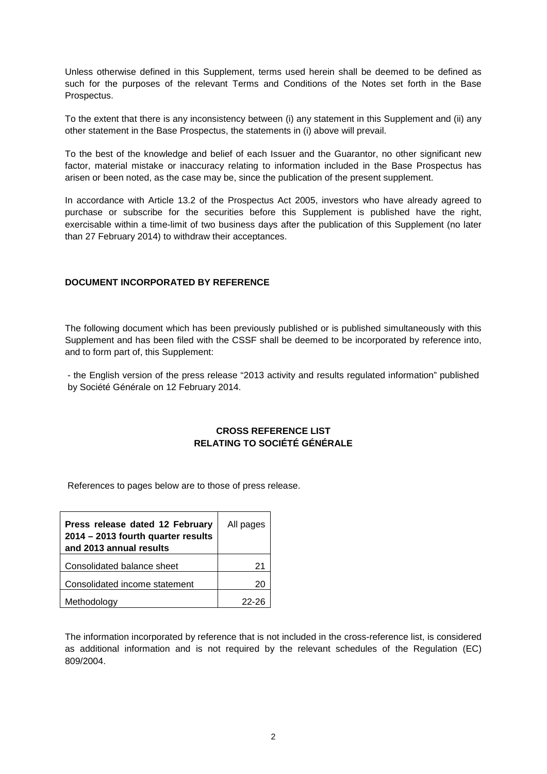Unless otherwise defined in this Supplement, terms used herein shall be deemed to be defined as such for the purposes of the relevant Terms and Conditions of the Notes set forth in the Base Prospectus.

To the extent that there is any inconsistency between (i) any statement in this Supplement and (ii) any other statement in the Base Prospectus, the statements in (i) above will prevail.

To the best of the knowledge and belief of each Issuer and the Guarantor, no other significant new factor, material mistake or inaccuracy relating to information included in the Base Prospectus has arisen or been noted, as the case may be, since the publication of the present supplement.

In accordance with Article 13.2 of the Prospectus Act 2005, investors who have already agreed to purchase or subscribe for the securities before this Supplement is published have the right, exercisable within a time-limit of two business days after the publication of this Supplement (no later than 27 February 2014) to withdraw their acceptances.

## **DOCUMENT INCORPORATED BY REFERENCE**

The following document which has been previously published or is published simultaneously with this Supplement and has been filed with the CSSF shall be deemed to be incorporated by reference into, and to form part of, this Supplement:

- the English version of the press release "2013 activity and results regulated information" published by Société Générale on 12 February 2014.

# **CROSS REFERENCE LIST RELATING TO SOCIÉTÉ GÉNÉRALE**

References to pages below are to those of press release.

| Press release dated 12 February<br>2014 - 2013 fourth quarter results<br>and 2013 annual results | All pages |
|--------------------------------------------------------------------------------------------------|-----------|
| Consolidated balance sheet                                                                       | 21        |
| Consolidated income statement                                                                    | 20        |
| Methodology                                                                                      | 22-26     |

The information incorporated by reference that is not included in the cross-reference list, is considered as additional information and is not required by the relevant schedules of the Regulation (EC) 809/2004.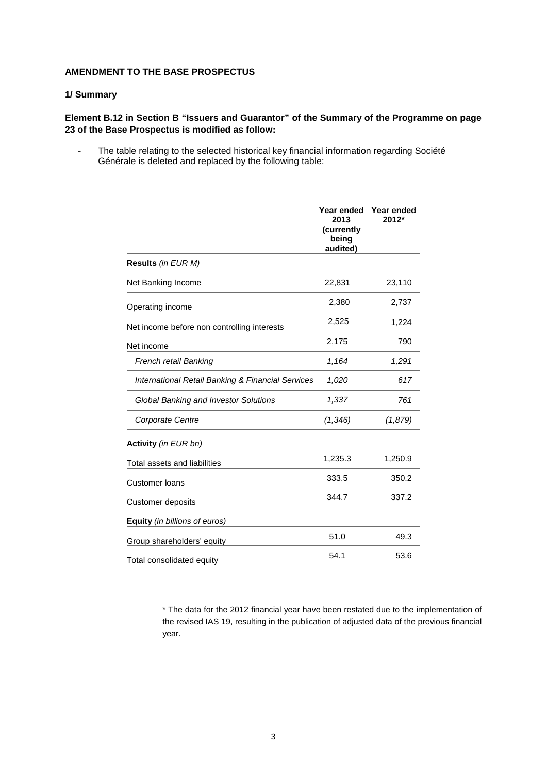## **AMENDMENT TO THE BASE PROSPECTUS**

#### **1/ Summary**

# **Element B.12 in Section B "Issuers and Guarantor" of the Summary of the Programme on page 23 of the Base Prospectus is modified as follow:**

- The table relating to the selected historical key financial information regarding Société Générale is deleted and replaced by the following table:

|                                                              | Year ended<br>2013<br>(currently<br>being<br>audited) | Year ended<br>$2012*$ |
|--------------------------------------------------------------|-------------------------------------------------------|-----------------------|
| Results (in EUR M)                                           |                                                       |                       |
| Net Banking Income                                           | 22,831                                                | 23,110                |
| Operating income                                             | 2,380                                                 | 2,737                 |
| Net income before non controlling interests                  | 2,525                                                 | 1,224                 |
| Net income                                                   | 2,175                                                 | 790                   |
| French retail Banking                                        | 1,164                                                 | 1,291                 |
| <b>International Retail Banking &amp; Financial Services</b> | 1,020                                                 | 617                   |
| <b>Global Banking and Investor Solutions</b>                 | 1,337                                                 | 761                   |
| Corporate Centre                                             | (1, 346)                                              | (1,879)               |
| Activity (in EUR bn)                                         |                                                       |                       |
| Total assets and liabilities                                 | 1,235.3                                               | 1,250.9               |
| <b>Customer loans</b>                                        | 333.5                                                 | 350.2                 |
| <b>Customer deposits</b>                                     | 344.7                                                 | 337.2                 |
| <b>Equity</b> (in billions of euros)                         |                                                       |                       |
| Group shareholders' equity                                   | 51.0                                                  | 49.3                  |
| Total consolidated equity                                    | 54.1                                                  | 53.6                  |

\* The data for the 2012 financial year have been restated due to the implementation of the revised IAS 19, resulting in the publication of adjusted data of the previous financial year.